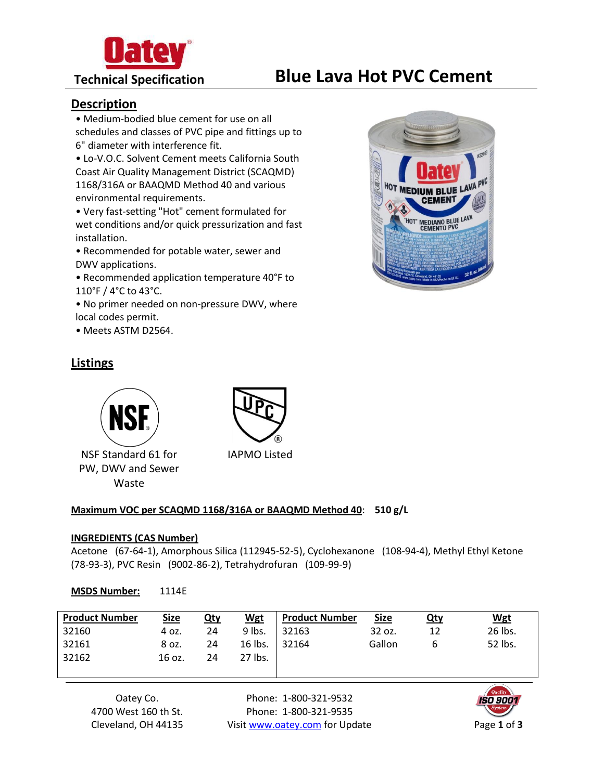

# **Technical Specification Blue Lava Hot PVC Cement**

### **Description**

• Medium-bodied blue cement for use on all schedules and classes of PVC pipe and fittings up to 6" diameter with interference fit.

• Lo-V.O.C. Solvent Cement meets California South Coast Air Quality Management District (SCAQMD) 1168/316A or BAAQMD Method 40 and various environmental requirements.

• Very fast-setting "Hot" cement formulated for wet conditions and/or quick pressurization and fast installation.

• Recommended for potable water, sewer and DWV applications.

• Recommended application temperature 40°F to 110°F / 4°C to 43°C.

• No primer needed on non-pressure DWV, where local codes permit.

• Meets ASTM D2564.

# **Listings**



NSF Standard 61 for PW, DWV and Sewer Waste



IAPMO Listed

#### **Maximum VOC per SCAQMD 1168/316A or BAAQMD Method 40**: **510 g/L**

#### **INGREDIENTS (CAS Number)**

Acetone (67-64-1), Amorphous Silica (112945-52-5), Cyclohexanone (108-94-4), Methyl Ethyl Ketone (78-93-3), PVC Resin (9002-86-2), Tetrahydrofuran (109-99-9)

#### **MSDS Number:** 1114E

| <b>Product Number</b> | <b>Size</b> | <u>Qty</u> | <b>Wgt</b> | <b>Product Number</b> | <b>Size</b> | <u>Qty</u> | <b>Wgt</b> |
|-----------------------|-------------|------------|------------|-----------------------|-------------|------------|------------|
| 32160                 | 4 oz.       | 24         | 9 lbs.     | 32163                 | 32 oz.      | 12         | 26 lbs.    |
| 32161                 | 8 oz.       | 24         | 16 lbs.    | 32164                 | Gallon      | b          | 52 lbs.    |
| 32162                 | 16 oz.      | 24         | 27 lbs.    |                       |             |            |            |

Oatey Co. 4700 West 160 th St. Cleveland, OH 44135

Phone: 1-800-321-9532 Phone: 1-800-321-9535 Visit www.oatey.com for Update Page 1 of 3



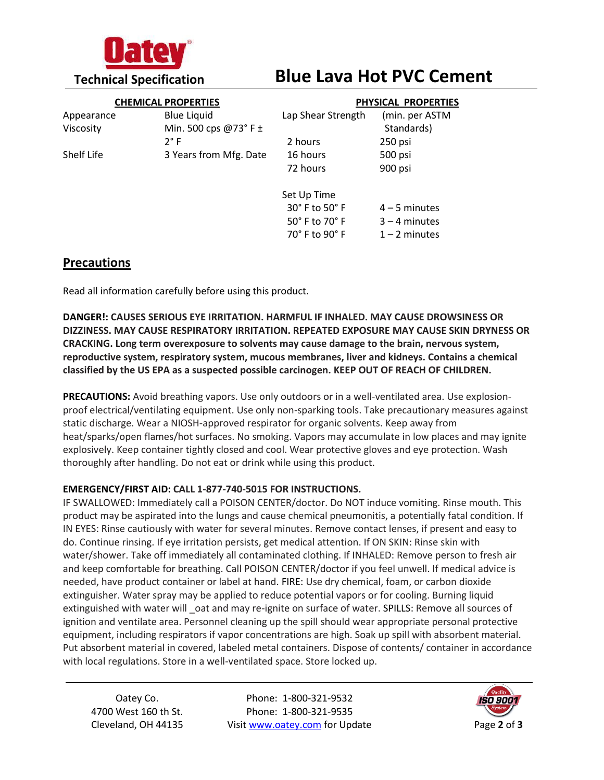

# **Technical Specification Blue Lava Hot PVC Cement**

|                   | <b>CHEMICAL PROPERTIES</b>  | PHYSICAL PROPERTIES           |                 |  |
|-------------------|-----------------------------|-------------------------------|-----------------|--|
| Appearance        | <b>Blue Liquid</b>          | Lap Shear Strength            | (min. per ASTM  |  |
| Viscosity         | Min. 500 cps $@73°$ F $\pm$ |                               | Standards)      |  |
|                   | $2^{\circ}$ F               | 2 hours                       | 250 psi         |  |
| <b>Shelf Life</b> | 3 Years from Mfg. Date      | 16 hours                      | 500 psi         |  |
|                   |                             | 72 hours                      | 900 psi         |  |
|                   |                             | Set Up Time                   |                 |  |
|                   |                             | 30° F to 50° F                | $4 - 5$ minutes |  |
|                   |                             | $50^\circ$ F to $70^\circ$ F  | $3 - 4$ minutes |  |
|                   |                             | $70^\circ$ F to 90 $^\circ$ F | $1 - 2$ minutes |  |

# **Precautions**

Read all information carefully before using this product.

**DANGER!: CAUSES SERIOUS EYE IRRITATION. HARMFUL IF INHALED. MAY CAUSE DROWSINESS OR DIZZINESS. MAY CAUSE RESPIRATORY IRRITATION. REPEATED EXPOSURE MAY CAUSE SKIN DRYNESS OR CRACKING. Long term overexposure to solvents may cause damage to the brain, nervous system, reproductive system, respiratory system, mucous membranes, liver and kidneys. Contains a chemical classified by the US EPA as a suspected possible carcinogen. KEEP OUT OF REACH OF CHILDREN.**

**PRECAUTIONS:** Avoid breathing vapors. Use only outdoors or in a well-ventilated area. Use explosionproof electrical/ventilating equipment. Use only non-sparking tools. Take precautionary measures against static discharge. Wear a NIOSH-approved respirator for organic solvents. Keep away from heat/sparks/open flames/hot surfaces. No smoking. Vapors may accumulate in low places and may ignite explosively. Keep container tightly closed and cool. Wear protective gloves and eye protection. Wash thoroughly after handling. Do not eat or drink while using this product.

### **EMERGENCY/FIRST AID: CALL 1-877-740-5015 FOR INSTRUCTIONS.**

IF SWALLOWED: Immediately call a POISON CENTER/doctor. Do NOT induce vomiting. Rinse mouth. This product may be aspirated into the lungs and cause chemical pneumonitis, a potentially fatal condition. If IN EYES: Rinse cautiously with water for several minutes. Remove contact lenses, if present and easy to do. Continue rinsing. If eye irritation persists, get medical attention. If ON SKIN: Rinse skin with water/shower. Take off immediately all contaminated clothing. If INHALED: Remove person to fresh air and keep comfortable for breathing. Call POISON CENTER/doctor if you feel unwell. If medical advice is needed, have product container or label at hand. FIRE: Use dry chemical, foam, or carbon dioxide extinguisher. Water spray may be applied to reduce potential vapors or for cooling. Burning liquid extinguished with water will oat and may re-ignite on surface of water. SPILLS: Remove all sources of ignition and ventilate area. Personnel cleaning up the spill should wear appropriate personal protective equipment, including respirators if vapor concentrations are high. Soak up spill with absorbent material. Put absorbent material in covered, labeled metal containers. Dispose of contents/ container in accordance with local regulations. Store in a well-ventilated space. Store locked up.

Oatey Co. 4700 West 160 th St. Cleveland, OH 44135

Phone: 1-800-321-9532 Phone: 1-800-321-9535 Visit www.oatey.com for Update Page 2 of 3